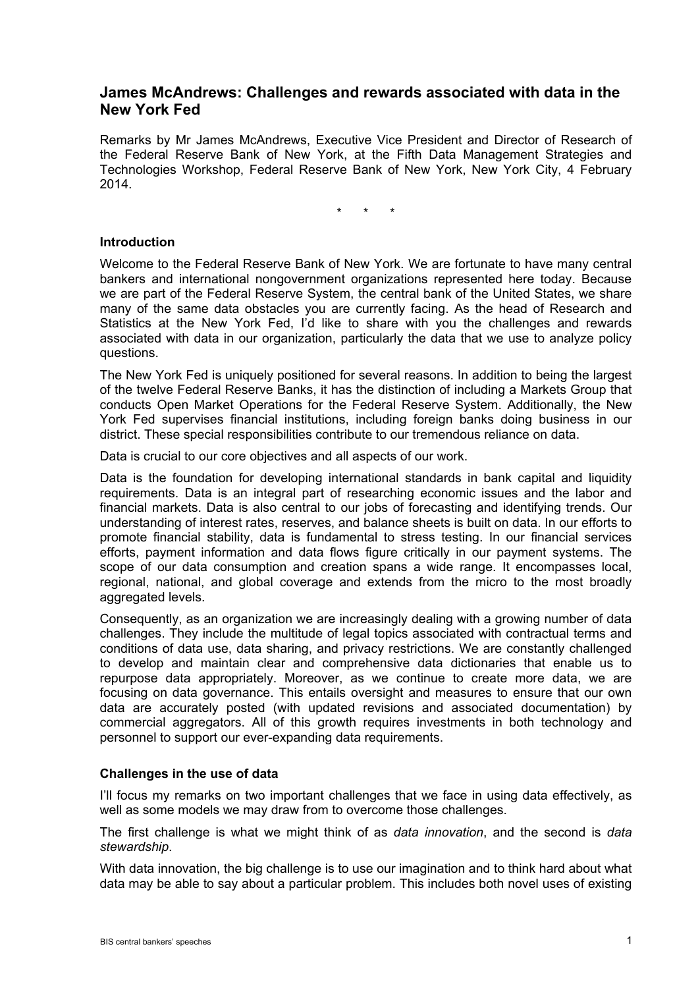# **James McAndrews: Challenges and rewards associated with data in the New York Fed**

Remarks by Mr James McAndrews, Executive Vice President and Director of Research of the Federal Reserve Bank of New York, at the Fifth Data Management Strategies and Technologies Workshop, Federal Reserve Bank of New York, New York City, 4 February 2014.

\* \* \*

#### **Introduction**

Welcome to the Federal Reserve Bank of New York. We are fortunate to have many central bankers and international nongovernment organizations represented here today. Because we are part of the Federal Reserve System, the central bank of the United States, we share many of the same data obstacles you are currently facing. As the head of Research and Statistics at the New York Fed, I'd like to share with you the challenges and rewards associated with data in our organization, particularly the data that we use to analyze policy questions.

The New York Fed is uniquely positioned for several reasons. In addition to being the largest of the twelve Federal Reserve Banks, it has the distinction of including a Markets Group that conducts Open Market Operations for the Federal Reserve System. Additionally, the New York Fed supervises financial institutions, including foreign banks doing business in our district. These special responsibilities contribute to our tremendous reliance on data.

Data is crucial to our core objectives and all aspects of our work.

Data is the foundation for developing international standards in bank capital and liquidity requirements. Data is an integral part of researching economic issues and the labor and financial markets. Data is also central to our jobs of forecasting and identifying trends. Our understanding of interest rates, reserves, and balance sheets is built on data. In our efforts to promote financial stability, data is fundamental to stress testing. In our financial services efforts, payment information and data flows figure critically in our payment systems. The scope of our data consumption and creation spans a wide range. It encompasses local, regional, national, and global coverage and extends from the micro to the most broadly aggregated levels.

Consequently, as an organization we are increasingly dealing with a growing number of data challenges. They include the multitude of legal topics associated with contractual terms and conditions of data use, data sharing, and privacy restrictions. We are constantly challenged to develop and maintain clear and comprehensive data dictionaries that enable us to repurpose data appropriately. Moreover, as we continue to create more data, we are focusing on data governance. This entails oversight and measures to ensure that our own data are accurately posted (with updated revisions and associated documentation) by commercial aggregators. All of this growth requires investments in both technology and personnel to support our ever-expanding data requirements.

#### **Challenges in the use of data**

I'll focus my remarks on two important challenges that we face in using data effectively, as well as some models we may draw from to overcome those challenges.

The first challenge is what we might think of as *data innovation*, and the second is *data stewardship*.

With data innovation, the big challenge is to use our imagination and to think hard about what data may be able to say about a particular problem. This includes both novel uses of existing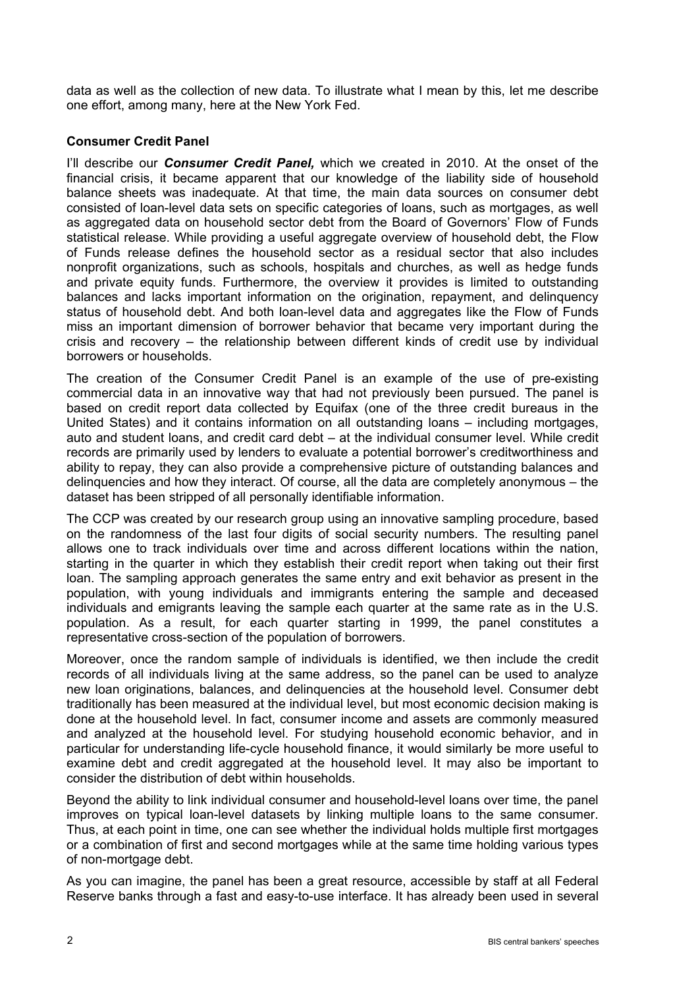data as well as the collection of new data. To illustrate what I mean by this, let me describe one effort, among many, here at the New York Fed.

## **Consumer Credit Panel**

I'll describe our *Consumer Credit Panel,* which we created in 2010. At the onset of the financial crisis, it became apparent that our knowledge of the liability side of household balance sheets was inadequate. At that time, the main data sources on consumer debt consisted of loan-level data sets on specific categories of loans, such as mortgages, as well as aggregated data on household sector debt from the Board of Governors' Flow of Funds statistical release. While providing a useful aggregate overview of household debt, the Flow of Funds release defines the household sector as a residual sector that also includes nonprofit organizations, such as schools, hospitals and churches, as well as hedge funds and private equity funds. Furthermore, the overview it provides is limited to outstanding balances and lacks important information on the origination, repayment, and delinquency status of household debt. And both loan-level data and aggregates like the Flow of Funds miss an important dimension of borrower behavior that became very important during the crisis and recovery – the relationship between different kinds of credit use by individual borrowers or households.

The creation of the Consumer Credit Panel is an example of the use of pre-existing commercial data in an innovative way that had not previously been pursued. The panel is based on credit report data collected by Equifax (one of the three credit bureaus in the United States) and it contains information on all outstanding loans – including mortgages, auto and student loans, and credit card debt – at the individual consumer level. While credit records are primarily used by lenders to evaluate a potential borrower's creditworthiness and ability to repay, they can also provide a comprehensive picture of outstanding balances and delinquencies and how they interact. Of course, all the data are completely anonymous – the dataset has been stripped of all personally identifiable information.

The CCP was created by our research group using an innovative sampling procedure, based on the randomness of the last four digits of social security numbers. The resulting panel allows one to track individuals over time and across different locations within the nation, starting in the quarter in which they establish their credit report when taking out their first loan. The sampling approach generates the same entry and exit behavior as present in the population, with young individuals and immigrants entering the sample and deceased individuals and emigrants leaving the sample each quarter at the same rate as in the U.S. population. As a result, for each quarter starting in 1999, the panel constitutes a representative cross-section of the population of borrowers.

Moreover, once the random sample of individuals is identified, we then include the credit records of all individuals living at the same address, so the panel can be used to analyze new loan originations, balances, and delinquencies at the household level. Consumer debt traditionally has been measured at the individual level, but most economic decision making is done at the household level. In fact, consumer income and assets are commonly measured and analyzed at the household level. For studying household economic behavior, and in particular for understanding life-cycle household finance, it would similarly be more useful to examine debt and credit aggregated at the household level. It may also be important to consider the distribution of debt within households.

Beyond the ability to link individual consumer and household-level loans over time, the panel improves on typical loan-level datasets by linking multiple loans to the same consumer. Thus, at each point in time, one can see whether the individual holds multiple first mortgages or a combination of first and second mortgages while at the same time holding various types of non-mortgage debt.

As you can imagine, the panel has been a great resource, accessible by staff at all Federal Reserve banks through a fast and easy-to-use interface. It has already been used in several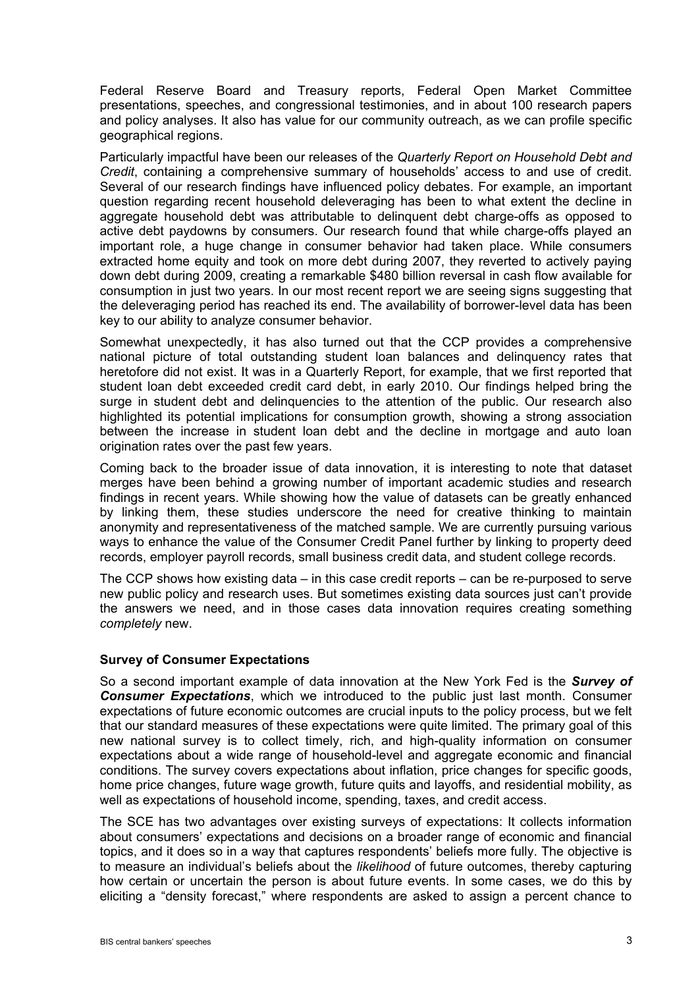Federal Reserve Board and Treasury reports, Federal Open Market Committee presentations, speeches, and congressional testimonies, and in about 100 research papers and policy analyses. It also has value for our community outreach, as we can profile specific geographical regions.

Particularly impactful have been our releases of the *Quarterly Report on Household Debt and Credit*, containing a comprehensive summary of households' access to and use of credit. Several of our research findings have influenced policy debates. For example, an important question regarding recent household deleveraging has been to what extent the decline in aggregate household debt was attributable to delinquent debt charge-offs as opposed to active debt paydowns by consumers. Our research found that while charge-offs played an important role, a huge change in consumer behavior had taken place. While consumers extracted home equity and took on more debt during 2007, they reverted to actively paying down debt during 2009, creating a remarkable \$480 billion reversal in cash flow available for consumption in just two years. In our most recent report we are seeing signs suggesting that the deleveraging period has reached its end. The availability of borrower-level data has been key to our ability to analyze consumer behavior.

Somewhat unexpectedly, it has also turned out that the CCP provides a comprehensive national picture of total outstanding student loan balances and delinquency rates that heretofore did not exist. It was in a Quarterly Report, for example, that we first reported that student loan debt exceeded credit card debt, in early 2010. Our findings helped bring the surge in student debt and delinquencies to the attention of the public. Our research also highlighted its potential implications for consumption growth, showing a strong association between the increase in student loan debt and the decline in mortgage and auto loan origination rates over the past few years.

Coming back to the broader issue of data innovation, it is interesting to note that dataset merges have been behind a growing number of important academic studies and research findings in recent years. While showing how the value of datasets can be greatly enhanced by linking them, these studies underscore the need for creative thinking to maintain anonymity and representativeness of the matched sample. We are currently pursuing various ways to enhance the value of the Consumer Credit Panel further by linking to property deed records, employer payroll records, small business credit data, and student college records.

The CCP shows how existing data – in this case credit reports – can be re-purposed to serve new public policy and research uses. But sometimes existing data sources just can't provide the answers we need, and in those cases data innovation requires creating something *completely* new.

#### **Survey of Consumer Expectations**

So a second important example of data innovation at the New York Fed is the *Survey of Consumer Expectations*, which we introduced to the public just last month. Consumer expectations of future economic outcomes are crucial inputs to the policy process, but we felt that our standard measures of these expectations were quite limited. The primary goal of this new national survey is to collect timely, rich, and high-quality information on consumer expectations about a wide range of household-level and aggregate economic and financial conditions. The survey covers expectations about inflation, price changes for specific goods, home price changes, future wage growth, future quits and layoffs, and residential mobility, as well as expectations of household income, spending, taxes, and credit access.

The SCE has two advantages over existing surveys of expectations: It collects information about consumers' expectations and decisions on a broader range of economic and financial topics, and it does so in a way that captures respondents' beliefs more fully. The objective is to measure an individual's beliefs about the *likelihood* of future outcomes, thereby capturing how certain or uncertain the person is about future events. In some cases, we do this by eliciting a "density forecast," where respondents are asked to assign a percent chance to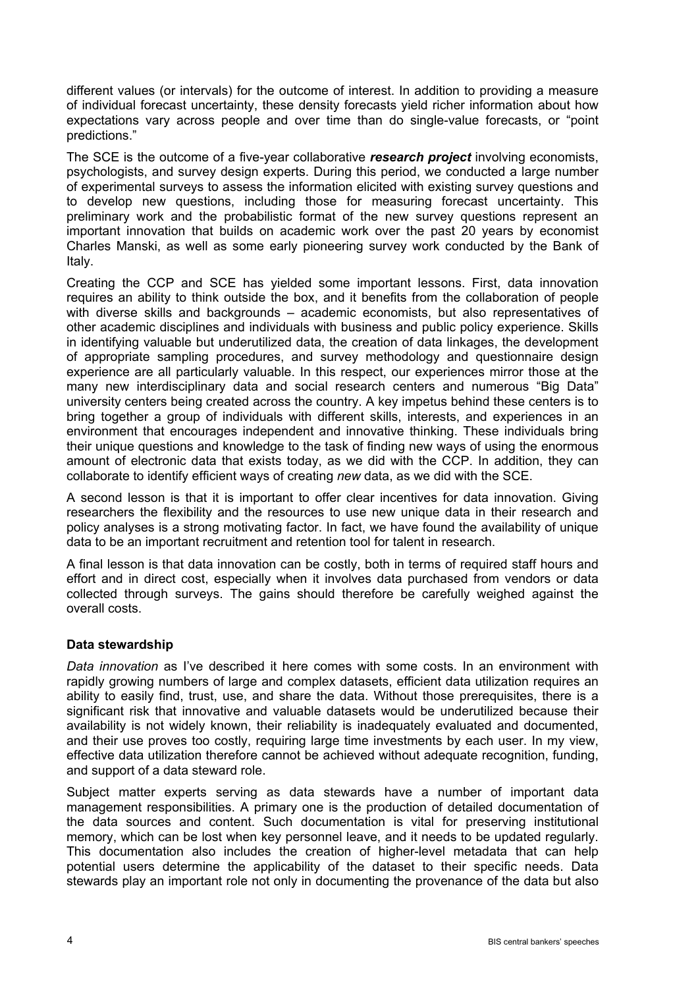different values (or intervals) for the outcome of interest. In addition to providing a measure of individual forecast uncertainty, these density forecasts yield richer information about how expectations vary across people and over time than do single-value forecasts, or "point predictions."

The SCE is the outcome of a five-year collaborative *research project* involving economists, psychologists, and survey design experts. During this period, we conducted a large number of experimental surveys to assess the information elicited with existing survey questions and to develop new questions, including those for measuring forecast uncertainty. This preliminary work and the probabilistic format of the new survey questions represent an important innovation that builds on academic work over the past 20 years by economist Charles Manski, as well as some early pioneering survey work conducted by the Bank of Italy.

Creating the CCP and SCE has yielded some important lessons. First, data innovation requires an ability to think outside the box, and it benefits from the collaboration of people with diverse skills and backgrounds – academic economists, but also representatives of other academic disciplines and individuals with business and public policy experience. Skills in identifying valuable but underutilized data, the creation of data linkages, the development of appropriate sampling procedures, and survey methodology and questionnaire design experience are all particularly valuable. In this respect, our experiences mirror those at the many new interdisciplinary data and social research centers and numerous "Big Data" university centers being created across the country. A key impetus behind these centers is to bring together a group of individuals with different skills, interests, and experiences in an environment that encourages independent and innovative thinking. These individuals bring their unique questions and knowledge to the task of finding new ways of using the enormous amount of electronic data that exists today, as we did with the CCP. In addition, they can collaborate to identify efficient ways of creating *new* data, as we did with the SCE.

A second lesson is that it is important to offer clear incentives for data innovation. Giving researchers the flexibility and the resources to use new unique data in their research and policy analyses is a strong motivating factor. In fact, we have found the availability of unique data to be an important recruitment and retention tool for talent in research.

A final lesson is that data innovation can be costly, both in terms of required staff hours and effort and in direct cost, especially when it involves data purchased from vendors or data collected through surveys. The gains should therefore be carefully weighed against the overall costs.

### **Data stewardship**

*Data innovation* as I've described it here comes with some costs. In an environment with rapidly growing numbers of large and complex datasets, efficient data utilization requires an ability to easily find, trust, use, and share the data. Without those prerequisites, there is a significant risk that innovative and valuable datasets would be underutilized because their availability is not widely known, their reliability is inadequately evaluated and documented, and their use proves too costly, requiring large time investments by each user. In my view, effective data utilization therefore cannot be achieved without adequate recognition, funding, and support of a data steward role.

Subject matter experts serving as data stewards have a number of important data management responsibilities. A primary one is the production of detailed documentation of the data sources and content. Such documentation is vital for preserving institutional memory, which can be lost when key personnel leave, and it needs to be updated regularly. This documentation also includes the creation of higher-level metadata that can help potential users determine the applicability of the dataset to their specific needs. Data stewards play an important role not only in documenting the provenance of the data but also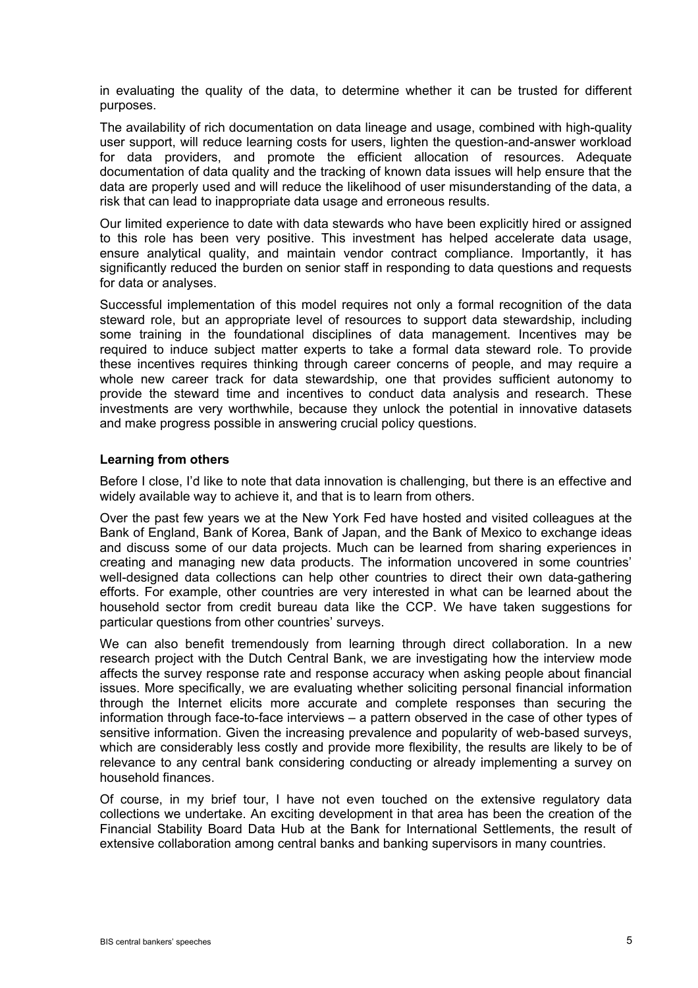in evaluating the quality of the data, to determine whether it can be trusted for different purposes.

The availability of rich documentation on data lineage and usage, combined with high-quality user support, will reduce learning costs for users, lighten the question-and-answer workload for data providers, and promote the efficient allocation of resources. Adequate documentation of data quality and the tracking of known data issues will help ensure that the data are properly used and will reduce the likelihood of user misunderstanding of the data, a risk that can lead to inappropriate data usage and erroneous results.

Our limited experience to date with data stewards who have been explicitly hired or assigned to this role has been very positive. This investment has helped accelerate data usage, ensure analytical quality, and maintain vendor contract compliance. Importantly, it has significantly reduced the burden on senior staff in responding to data questions and requests for data or analyses.

Successful implementation of this model requires not only a formal recognition of the data steward role, but an appropriate level of resources to support data stewardship, including some training in the foundational disciplines of data management. Incentives may be required to induce subject matter experts to take a formal data steward role. To provide these incentives requires thinking through career concerns of people, and may require a whole new career track for data stewardship, one that provides sufficient autonomy to provide the steward time and incentives to conduct data analysis and research. These investments are very worthwhile, because they unlock the potential in innovative datasets and make progress possible in answering crucial policy questions.

### **Learning from others**

Before I close, I'd like to note that data innovation is challenging, but there is an effective and widely available way to achieve it, and that is to learn from others.

Over the past few years we at the New York Fed have hosted and visited colleagues at the Bank of England, Bank of Korea, Bank of Japan, and the Bank of Mexico to exchange ideas and discuss some of our data projects. Much can be learned from sharing experiences in creating and managing new data products. The information uncovered in some countries' well-designed data collections can help other countries to direct their own data-gathering efforts. For example, other countries are very interested in what can be learned about the household sector from credit bureau data like the CCP. We have taken suggestions for particular questions from other countries' surveys.

We can also benefit tremendously from learning through direct collaboration. In a new research project with the Dutch Central Bank, we are investigating how the interview mode affects the survey response rate and response accuracy when asking people about financial issues. More specifically, we are evaluating whether soliciting personal financial information through the Internet elicits more accurate and complete responses than securing the information through face-to-face interviews – a pattern observed in the case of other types of sensitive information. Given the increasing prevalence and popularity of web-based surveys, which are considerably less costly and provide more flexibility, the results are likely to be of relevance to any central bank considering conducting or already implementing a survey on household finances.

Of course, in my brief tour, I have not even touched on the extensive regulatory data collections we undertake. An exciting development in that area has been the creation of the Financial Stability Board Data Hub at the Bank for International Settlements, the result of extensive collaboration among central banks and banking supervisors in many countries.